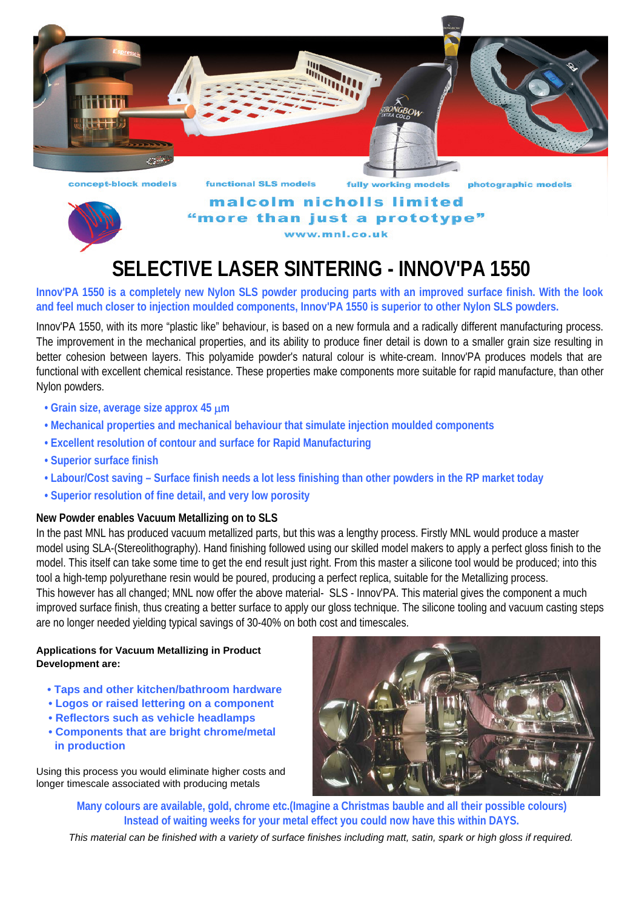



malcolm nicholls limited more than just a prototype" www.mnl.co.uk

# **SELECTIVE LASER SINTERING - INNOV'PA 1550**

**Innov'PA 1550 is a completely new Nylon SLS powder producing parts with an improved surface finish. With the look and feel much closer to injection moulded components, Innov'PA 1550 is superior to other Nylon SLS powders.**

Innov'PA 1550, with its more "plastic like" behaviour, is based on a new formula and a radically different manufacturing process. The improvement in the mechanical properties, and its ability to produce finer detail is down to a smaller grain size resulting in better cohesion between layers. This polyamide powder's natural colour is white-cream. Innov'PA produces models that are functional with excellent chemical resistance. These properties make components more suitable for rapid manufacture, than other Nylon powders.

- **Grain size, average size approx 45** µ**m**
- **Mechanical properties and mechanical behaviour that simulate injection moulded components**
- **Excellent resolution of contour and surface for Rapid Manufacturing**
- **Superior surface finish**
- **Labour/Cost saving Surface finish needs a lot less finishing than other powders in the RP market today**
- **Superior resolution of fine detail, and very low porosity**

### **New Powder enables Vacuum Metallizing on to SLS**

In the past MNL has produced vacuum metallized parts, but this was a lengthy process. Firstly MNL would produce a master model using SLA-(Stereolithography). Hand finishing followed using our skilled model makers to apply a perfect gloss finish to the model. This itself can take some time to get the end result just right. From this master a silicone tool would be produced; into this tool a high-temp polyurethane resin would be poured, producing a perfect replica, suitable for the Metallizing process. This however has all changed; MNL now offer the above material- SLS - Innov'PA. This material gives the component a much improved surface finish, thus creating a better surface to apply our gloss technique. The silicone tooling and vacuum casting steps are no longer needed yielding typical savings of 30-40% on both cost and timescales.

#### **Applications for Vacuum Metallizing in Product Development are:**

- **Taps and other kitchen/bathroom hardware**
- **Logos or raised lettering on a component**
- **Reflectors such as vehicle headlamps**
- **Components that are bright chrome/metal in production**

Using this process you would eliminate higher costs and longer timescale associated with producing metals



**Many colours are available, gold, chrome etc.(Imagine a Christmas bauble and all their possible colours) Instead of waiting weeks for your metal effect you could now have this within DAYS.**

*This material can be finished with a variety of surface finishes including matt, satin, spark or high gloss if required.*